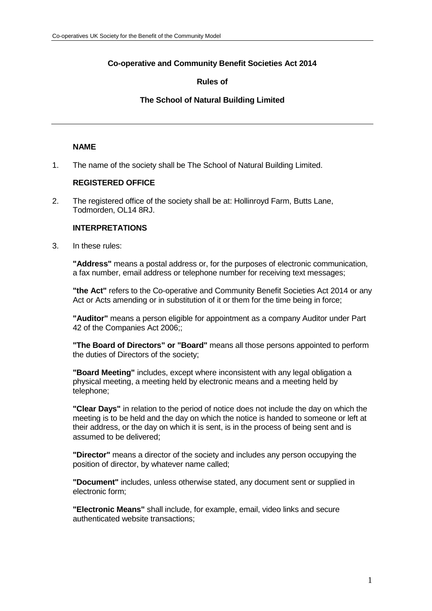# **Co-operative and Community Benefit Societies Act 2014**

# **Rules of**

## **The School of Natural Building Limited**

## **NAME**

1. The name of the society shall be The School of Natural Building Limited.

## **REGISTERED OFFICE**

2. The registered office of the society shall be at: Hollinroyd Farm, Butts Lane, Todmorden, OL14 8RJ.

## **INTERPRETATIONS**

3. In these rules:

**"Address"** means a postal address or, for the purposes of electronic communication, a fax number, email address or telephone number for receiving text messages;

**"the Act"** refers to the Co-operative and Community Benefit Societies Act 2014 or any Act or Acts amending or in substitution of it or them for the time being in force;

**"Auditor"** means a person eligible for appointment as a company Auditor under Part 42 of the Companies Act 2006;;

**"The Board of Directors" or "Board"** means all those persons appointed to perform the duties of Directors of the society;

**"Board Meeting"** includes, except where inconsistent with any legal obligation a physical meeting, a meeting held by electronic means and a meeting held by telephone;

**"Clear Days"** in relation to the period of notice does not include the day on which the meeting is to be held and the day on which the notice is handed to someone or left at their address, or the day on which it is sent, is in the process of being sent and is assumed to be delivered;

**"Director"** means a director of the society and includes any person occupying the position of director, by whatever name called;

**"Document"** includes, unless otherwise stated, any document sent or supplied in electronic form;

**"Electronic Means"** shall include, for example, email, video links and secure authenticated website transactions;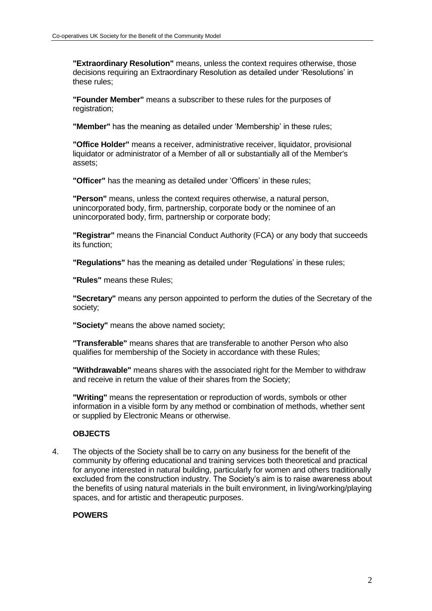**"Extraordinary Resolution"** means, unless the context requires otherwise, those decisions requiring an Extraordinary Resolution as detailed under 'Resolutions' in these rules;

**"Founder Member"** means a subscriber to these rules for the purposes of registration:

**"Member"** has the meaning as detailed under 'Membership' in these rules;

**"Office Holder"** means a receiver, administrative receiver, liquidator, provisional liquidator or administrator of a Member of all or substantially all of the Member's assets;

**"Officer"** has the meaning as detailed under 'Officers' in these rules;

**"Person"** means, unless the context requires otherwise, a natural person, unincorporated body, firm, partnership, corporate body or the nominee of an unincorporated body, firm, partnership or corporate body;

**"Registrar"** means the Financial Conduct Authority (FCA) or any body that succeeds its function;

**"Regulations"** has the meaning as detailed under 'Regulations' in these rules;

**"Rules"** means these Rules;

**"Secretary"** means any person appointed to perform the duties of the Secretary of the society;

**"Society"** means the above named society;

**"Transferable"** means shares that are transferable to another Person who also qualifies for membership of the Society in accordance with these Rules;

**"Withdrawable"** means shares with the associated right for the Member to withdraw and receive in return the value of their shares from the Society;

**"Writing"** means the representation or reproduction of words, symbols or other information in a visible form by any method or combination of methods, whether sent or supplied by Electronic Means or otherwise.

## **OBJECTS**

4. The objects of the Society shall be to carry on any business for the benefit of the community by offering educational and training services both theoretical and practical for anyone interested in natural building, particularly for women and others traditionally excluded from the construction industry. The Society's aim is to raise awareness about the benefits of using natural materials in the built environment, in living/working/playing spaces, and for artistic and therapeutic purposes.

## **POWERS**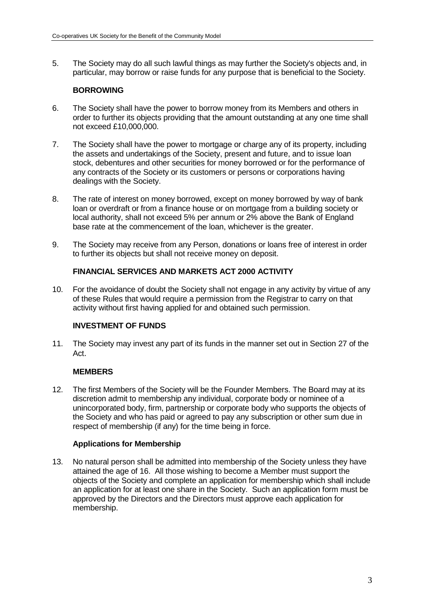5. The Society may do all such lawful things as may further the Society's objects and, in particular, may borrow or raise funds for any purpose that is beneficial to the Society.

## **BORROWING**

- 6. The Society shall have the power to borrow money from its Members and others in order to further its objects providing that the amount outstanding at any one time shall not exceed £10,000,000.
- 7. The Society shall have the power to mortgage or charge any of its property, including the assets and undertakings of the Society, present and future, and to issue loan stock, debentures and other securities for money borrowed or for the performance of any contracts of the Society or its customers or persons or corporations having dealings with the Society.
- 8. The rate of interest on money borrowed, except on money borrowed by way of bank loan or overdraft or from a finance house or on mortgage from a building society or local authority, shall not exceed 5% per annum or 2% above the Bank of England base rate at the commencement of the loan, whichever is the greater.
- 9. The Society may receive from any Person, donations or loans free of interest in order to further its objects but shall not receive money on deposit.

## **FINANCIAL SERVICES AND MARKETS ACT 2000 ACTIVITY**

10. For the avoidance of doubt the Society shall not engage in any activity by virtue of any of these Rules that would require a permission from the Registrar to carry on that activity without first having applied for and obtained such permission.

## **INVESTMENT OF FUNDS**

11. The Society may invest any part of its funds in the manner set out in Section 27 of the Act.

#### **MEMBERS**

12. The first Members of the Society will be the Founder Members. The Board may at its discretion admit to membership any individual, corporate body or nominee of a unincorporated body, firm, partnership or corporate body who supports the objects of the Society and who has paid or agreed to pay any subscription or other sum due in respect of membership (if any) for the time being in force.

#### **Applications for Membership**

13. No natural person shall be admitted into membership of the Society unless they have attained the age of 16. All those wishing to become a Member must support the objects of the Society and complete an application for membership which shall include an application for at least one share in the Society. Such an application form must be approved by the Directors and the Directors must approve each application for membership.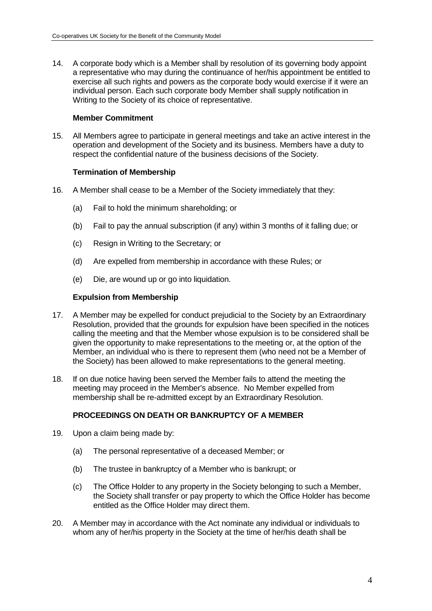14. A corporate body which is a Member shall by resolution of its governing body appoint a representative who may during the continuance of her/his appointment be entitled to exercise all such rights and powers as the corporate body would exercise if it were an individual person. Each such corporate body Member shall supply notification in Writing to the Society of its choice of representative.

#### **Member Commitment**

15. All Members agree to participate in general meetings and take an active interest in the operation and development of the Society and its business. Members have a duty to respect the confidential nature of the business decisions of the Society.

### **Termination of Membership**

- 16. A Member shall cease to be a Member of the Society immediately that they:
	- (a) Fail to hold the minimum shareholding; or
	- (b) Fail to pay the annual subscription (if any) within 3 months of it falling due; or
	- (c) Resign in Writing to the Secretary; or
	- (d) Are expelled from membership in accordance with these Rules; or
	- (e) Die, are wound up or go into liquidation.

### **Expulsion from Membership**

- 17. A Member may be expelled for conduct prejudicial to the Society by an Extraordinary Resolution, provided that the grounds for expulsion have been specified in the notices calling the meeting and that the Member whose expulsion is to be considered shall be given the opportunity to make representations to the meeting or, at the option of the Member, an individual who is there to represent them (who need not be a Member of the Society) has been allowed to make representations to the general meeting.
- 18. If on due notice having been served the Member fails to attend the meeting the meeting may proceed in the Member's absence. No Member expelled from membership shall be re-admitted except by an Extraordinary Resolution.

## **PROCEEDINGS ON DEATH OR BANKRUPTCY OF A MEMBER**

- 19. Upon a claim being made by:
	- (a) The personal representative of a deceased Member; or
	- (b) The trustee in bankruptcy of a Member who is bankrupt; or
	- (c) The Office Holder to any property in the Society belonging to such a Member, the Society shall transfer or pay property to which the Office Holder has become entitled as the Office Holder may direct them.
- 20. A Member may in accordance with the Act nominate any individual or individuals to whom any of her/his property in the Society at the time of her/his death shall be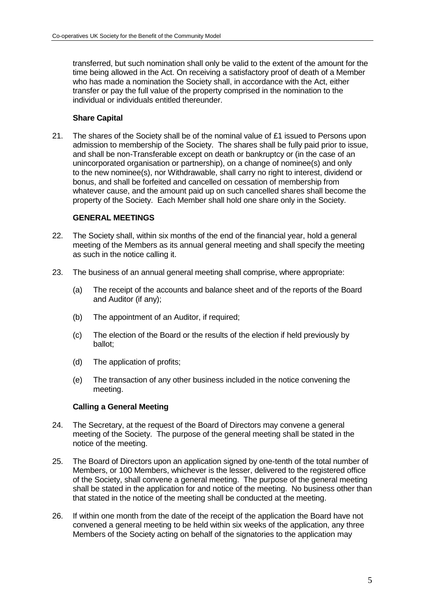transferred, but such nomination shall only be valid to the extent of the amount for the time being allowed in the Act. On receiving a satisfactory proof of death of a Member who has made a nomination the Society shall, in accordance with the Act, either transfer or pay the full value of the property comprised in the nomination to the individual or individuals entitled thereunder.

## **Share Capital**

21. The shares of the Society shall be of the nominal value of £1 issued to Persons upon admission to membership of the Society. The shares shall be fully paid prior to issue, and shall be non-Transferable except on death or bankruptcy or (in the case of an unincorporated organisation or partnership), on a change of nominee(s) and only to the new nominee(s), nor Withdrawable, shall carry no right to interest, dividend or bonus, and shall be forfeited and cancelled on cessation of membership from whatever cause, and the amount paid up on such cancelled shares shall become the property of the Society. Each Member shall hold one share only in the Society.

### **GENERAL MEETINGS**

- 22. The Society shall, within six months of the end of the financial year, hold a general meeting of the Members as its annual general meeting and shall specify the meeting as such in the notice calling it.
- 23. The business of an annual general meeting shall comprise, where appropriate:
	- (a) The receipt of the accounts and balance sheet and of the reports of the Board and Auditor (if any);
	- (b) The appointment of an Auditor, if required;
	- (c) The election of the Board or the results of the election if held previously by ballot;
	- (d) The application of profits;
	- (e) The transaction of any other business included in the notice convening the meeting.

#### **Calling a General Meeting**

- 24. The Secretary, at the request of the Board of Directors may convene a general meeting of the Society. The purpose of the general meeting shall be stated in the notice of the meeting.
- 25. The Board of Directors upon an application signed by one-tenth of the total number of Members, or 100 Members, whichever is the lesser, delivered to the registered office of the Society, shall convene a general meeting. The purpose of the general meeting shall be stated in the application for and notice of the meeting. No business other than that stated in the notice of the meeting shall be conducted at the meeting.
- 26. If within one month from the date of the receipt of the application the Board have not convened a general meeting to be held within six weeks of the application, any three Members of the Society acting on behalf of the signatories to the application may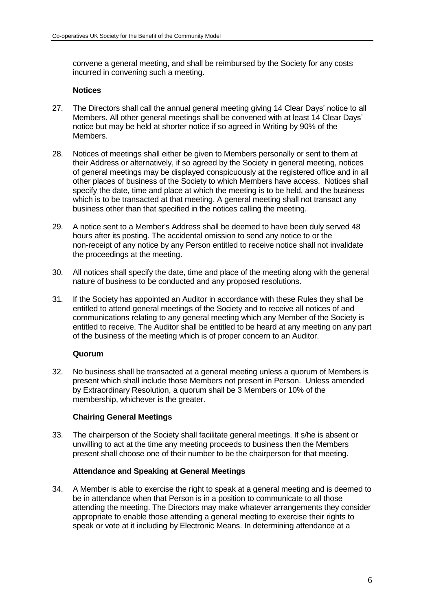convene a general meeting, and shall be reimbursed by the Society for any costs incurred in convening such a meeting.

#### **Notices**

- 27. The Directors shall call the annual general meeting giving 14 Clear Days' notice to all Members. All other general meetings shall be convened with at least 14 Clear Days' notice but may be held at shorter notice if so agreed in Writing by 90% of the Members.
- 28. Notices of meetings shall either be given to Members personally or sent to them at their Address or alternatively, if so agreed by the Society in general meeting, notices of general meetings may be displayed conspicuously at the registered office and in all other places of business of the Society to which Members have access. Notices shall specify the date, time and place at which the meeting is to be held, and the business which is to be transacted at that meeting. A general meeting shall not transact any business other than that specified in the notices calling the meeting.
- 29. A notice sent to a Member's Address shall be deemed to have been duly served 48 hours after its posting. The accidental omission to send any notice to or the non-receipt of any notice by any Person entitled to receive notice shall not invalidate the proceedings at the meeting.
- 30. All notices shall specify the date, time and place of the meeting along with the general nature of business to be conducted and any proposed resolutions.
- 31. If the Society has appointed an Auditor in accordance with these Rules they shall be entitled to attend general meetings of the Society and to receive all notices of and communications relating to any general meeting which any Member of the Society is entitled to receive. The Auditor shall be entitled to be heard at any meeting on any part of the business of the meeting which is of proper concern to an Auditor.

#### **Quorum**

32. No business shall be transacted at a general meeting unless a quorum of Members is present which shall include those Members not present in Person. Unless amended by Extraordinary Resolution, a quorum shall be 3 Members or 10% of the membership, whichever is the greater.

## **Chairing General Meetings**

33. The chairperson of the Society shall facilitate general meetings. If s/he is absent or unwilling to act at the time any meeting proceeds to business then the Members present shall choose one of their number to be the chairperson for that meeting.

#### **Attendance and Speaking at General Meetings**

34. A Member is able to exercise the right to speak at a general meeting and is deemed to be in attendance when that Person is in a position to communicate to all those attending the meeting. The Directors may make whatever arrangements they consider appropriate to enable those attending a general meeting to exercise their rights to speak or vote at it including by Electronic Means. In determining attendance at a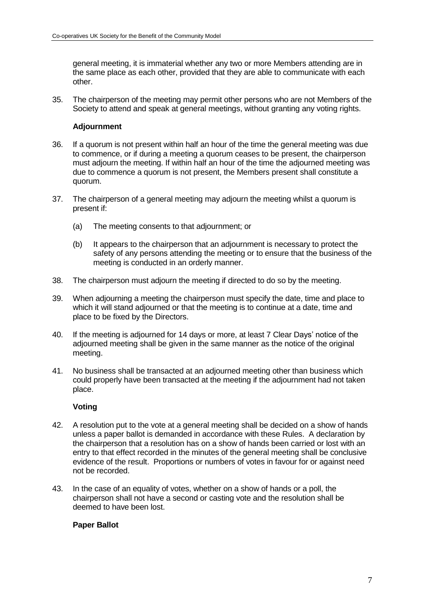general meeting, it is immaterial whether any two or more Members attending are in the same place as each other, provided that they are able to communicate with each other.

35. The chairperson of the meeting may permit other persons who are not Members of the Society to attend and speak at general meetings, without granting any voting rights.

### **Adjournment**

- 36. If a quorum is not present within half an hour of the time the general meeting was due to commence, or if during a meeting a quorum ceases to be present, the chairperson must adjourn the meeting. If within half an hour of the time the adjourned meeting was due to commence a quorum is not present, the Members present shall constitute a quorum.
- 37. The chairperson of a general meeting may adjourn the meeting whilst a quorum is present if:
	- (a) The meeting consents to that adjournment; or
	- (b) It appears to the chairperson that an adjournment is necessary to protect the safety of any persons attending the meeting or to ensure that the business of the meeting is conducted in an orderly manner.
- 38. The chairperson must adjourn the meeting if directed to do so by the meeting.
- 39. When adjourning a meeting the chairperson must specify the date, time and place to which it will stand adjourned or that the meeting is to continue at a date, time and place to be fixed by the Directors.
- 40. If the meeting is adjourned for 14 days or more, at least 7 Clear Days' notice of the adjourned meeting shall be given in the same manner as the notice of the original meeting.
- 41. No business shall be transacted at an adjourned meeting other than business which could properly have been transacted at the meeting if the adjournment had not taken place.

#### **Voting**

- 42. A resolution put to the vote at a general meeting shall be decided on a show of hands unless a paper ballot is demanded in accordance with these Rules. A declaration by the chairperson that a resolution has on a show of hands been carried or lost with an entry to that effect recorded in the minutes of the general meeting shall be conclusive evidence of the result. Proportions or numbers of votes in favour for or against need not be recorded.
- 43. In the case of an equality of votes, whether on a show of hands or a poll, the chairperson shall not have a second or casting vote and the resolution shall be deemed to have been lost.

#### **Paper Ballot**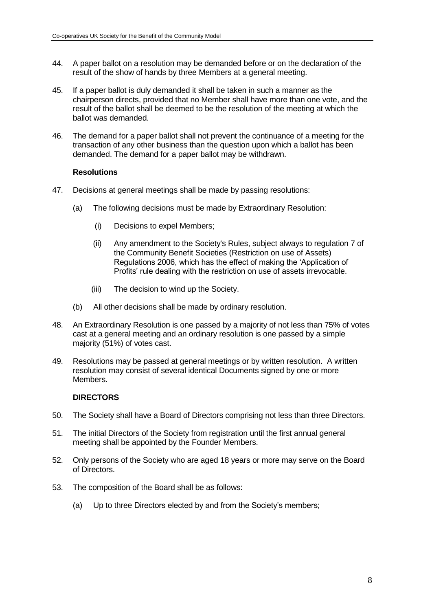- 44. A paper ballot on a resolution may be demanded before or on the declaration of the result of the show of hands by three Members at a general meeting.
- 45. If a paper ballot is duly demanded it shall be taken in such a manner as the chairperson directs, provided that no Member shall have more than one vote, and the result of the ballot shall be deemed to be the resolution of the meeting at which the ballot was demanded.
- 46. The demand for a paper ballot shall not prevent the continuance of a meeting for the transaction of any other business than the question upon which a ballot has been demanded. The demand for a paper ballot may be withdrawn.

#### **Resolutions**

- 47. Decisions at general meetings shall be made by passing resolutions:
	- (a) The following decisions must be made by Extraordinary Resolution:
		- (i) Decisions to expel Members;
		- (ii) Any amendment to the Society's Rules, subject always to regulation 7 of the Community Benefit Societies (Restriction on use of Assets) Regulations 2006, which has the effect of making the 'Application of Profits' rule dealing with the restriction on use of assets irrevocable.
		- (iii) The decision to wind up the Society.
	- (b) All other decisions shall be made by ordinary resolution.
- 48. An Extraordinary Resolution is one passed by a majority of not less than 75% of votes cast at a general meeting and an ordinary resolution is one passed by a simple majority (51%) of votes cast.
- 49. Resolutions may be passed at general meetings or by written resolution. A written resolution may consist of several identical Documents signed by one or more Members.

#### **DIRECTORS**

- 50. The Society shall have a Board of Directors comprising not less than three Directors.
- 51. The initial Directors of the Society from registration until the first annual general meeting shall be appointed by the Founder Members.
- 52. Only persons of the Society who are aged 18 years or more may serve on the Board of Directors.
- 53. The composition of the Board shall be as follows:
	- (a) Up to three Directors elected by and from the Society's members;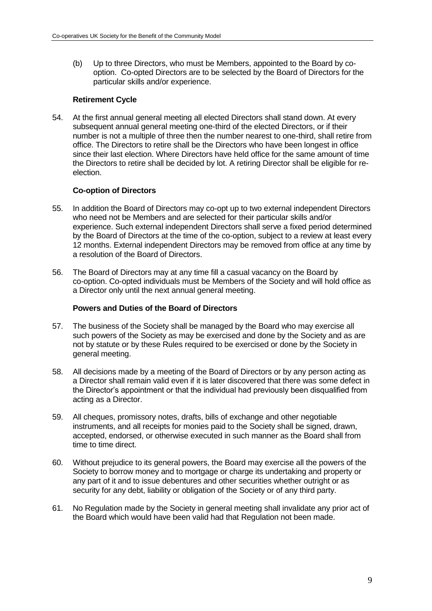(b) Up to three Directors, who must be Members, appointed to the Board by cooption. Co-opted Directors are to be selected by the Board of Directors for the particular skills and/or experience.

## **Retirement Cycle**

54. At the first annual general meeting all elected Directors shall stand down. At every subsequent annual general meeting one-third of the elected Directors, or if their number is not a multiple of three then the number nearest to one-third, shall retire from office. The Directors to retire shall be the Directors who have been longest in office since their last election. Where Directors have held office for the same amount of time the Directors to retire shall be decided by lot. A retiring Director shall be eligible for reelection.

## **Co-option of Directors**

- 55. In addition the Board of Directors may co-opt up to two external independent Directors who need not be Members and are selected for their particular skills and/or experience. Such external independent Directors shall serve a fixed period determined by the Board of Directors at the time of the co-option, subject to a review at least every 12 months. External independent Directors may be removed from office at any time by a resolution of the Board of Directors.
- 56. The Board of Directors may at any time fill a casual vacancy on the Board by co-option. Co-opted individuals must be Members of the Society and will hold office as a Director only until the next annual general meeting.

#### **Powers and Duties of the Board of Directors**

- 57. The business of the Society shall be managed by the Board who may exercise all such powers of the Society as may be exercised and done by the Society and as are not by statute or by these Rules required to be exercised or done by the Society in general meeting.
- 58. All decisions made by a meeting of the Board of Directors or by any person acting as a Director shall remain valid even if it is later discovered that there was some defect in the Director's appointment or that the individual had previously been disqualified from acting as a Director.
- 59. All cheques, promissory notes, drafts, bills of exchange and other negotiable instruments, and all receipts for monies paid to the Society shall be signed, drawn, accepted, endorsed, or otherwise executed in such manner as the Board shall from time to time direct.
- 60. Without prejudice to its general powers, the Board may exercise all the powers of the Society to borrow money and to mortgage or charge its undertaking and property or any part of it and to issue debentures and other securities whether outright or as security for any debt, liability or obligation of the Society or of any third party.
- 61. No Regulation made by the Society in general meeting shall invalidate any prior act of the Board which would have been valid had that Regulation not been made.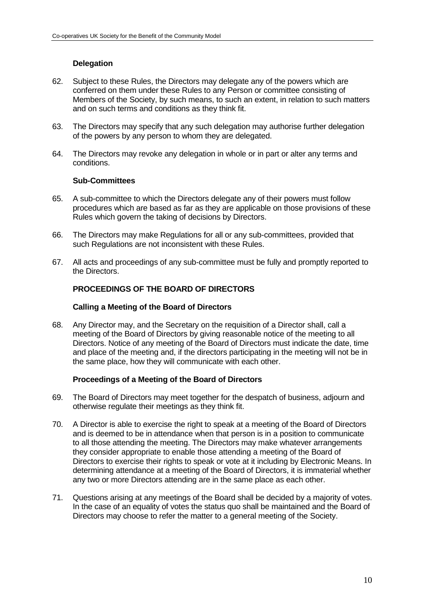# **Delegation**

- 62. Subject to these Rules, the Directors may delegate any of the powers which are conferred on them under these Rules to any Person or committee consisting of Members of the Society, by such means, to such an extent, in relation to such matters and on such terms and conditions as they think fit.
- 63. The Directors may specify that any such delegation may authorise further delegation of the powers by any person to whom they are delegated.
- 64. The Directors may revoke any delegation in whole or in part or alter any terms and conditions.

#### **Sub-Committees**

- 65. A sub-committee to which the Directors delegate any of their powers must follow procedures which are based as far as they are applicable on those provisions of these Rules which govern the taking of decisions by Directors.
- 66. The Directors may make Regulations for all or any sub-committees, provided that such Regulations are not inconsistent with these Rules.
- 67. All acts and proceedings of any sub-committee must be fully and promptly reported to the Directors.

## **PROCEEDINGS OF THE BOARD OF DIRECTORS**

#### **Calling a Meeting of the Board of Directors**

68. Any Director may, and the Secretary on the requisition of a Director shall, call a meeting of the Board of Directors by giving reasonable notice of the meeting to all Directors. Notice of any meeting of the Board of Directors must indicate the date, time and place of the meeting and, if the directors participating in the meeting will not be in the same place, how they will communicate with each other.

## **Proceedings of a Meeting of the Board of Directors**

- 69. The Board of Directors may meet together for the despatch of business, adjourn and otherwise regulate their meetings as they think fit.
- 70. A Director is able to exercise the right to speak at a meeting of the Board of Directors and is deemed to be in attendance when that person is in a position to communicate to all those attending the meeting. The Directors may make whatever arrangements they consider appropriate to enable those attending a meeting of the Board of Directors to exercise their rights to speak or vote at it including by Electronic Means. In determining attendance at a meeting of the Board of Directors, it is immaterial whether any two or more Directors attending are in the same place as each other.
- 71. Questions arising at any meetings of the Board shall be decided by a majority of votes. In the case of an equality of votes the status quo shall be maintained and the Board of Directors may choose to refer the matter to a general meeting of the Society.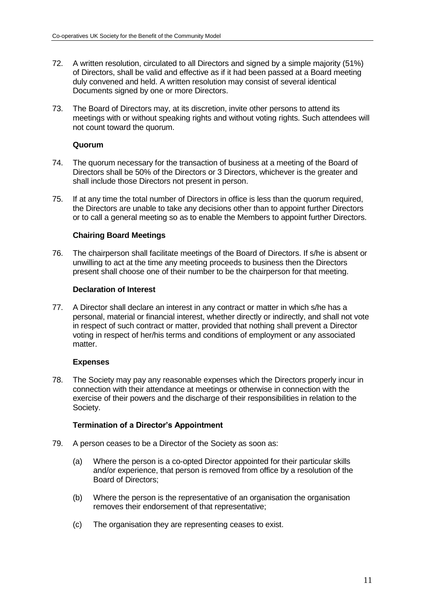- 72. A written resolution, circulated to all Directors and signed by a simple majority (51%) of Directors, shall be valid and effective as if it had been passed at a Board meeting duly convened and held. A written resolution may consist of several identical Documents signed by one or more Directors.
- 73. The Board of Directors may, at its discretion, invite other persons to attend its meetings with or without speaking rights and without voting rights. Such attendees will not count toward the quorum.

### **Quorum**

- 74. The quorum necessary for the transaction of business at a meeting of the Board of Directors shall be 50% of the Directors or 3 Directors, whichever is the greater and shall include those Directors not present in person.
- 75. If at any time the total number of Directors in office is less than the quorum required, the Directors are unable to take any decisions other than to appoint further Directors or to call a general meeting so as to enable the Members to appoint further Directors.

## **Chairing Board Meetings**

76. The chairperson shall facilitate meetings of the Board of Directors. If s/he is absent or unwilling to act at the time any meeting proceeds to business then the Directors present shall choose one of their number to be the chairperson for that meeting.

### **Declaration of Interest**

77. A Director shall declare an interest in any contract or matter in which s/he has a personal, material or financial interest, whether directly or indirectly, and shall not vote in respect of such contract or matter, provided that nothing shall prevent a Director voting in respect of her/his terms and conditions of employment or any associated matter.

#### **Expenses**

78. The Society may pay any reasonable expenses which the Directors properly incur in connection with their attendance at meetings or otherwise in connection with the exercise of their powers and the discharge of their responsibilities in relation to the Society.

## **Termination of a Director's Appointment**

- 79. A person ceases to be a Director of the Society as soon as:
	- (a) Where the person is a co-opted Director appointed for their particular skills and/or experience, that person is removed from office by a resolution of the Board of Directors;
	- (b) Where the person is the representative of an organisation the organisation removes their endorsement of that representative;
	- (c) The organisation they are representing ceases to exist.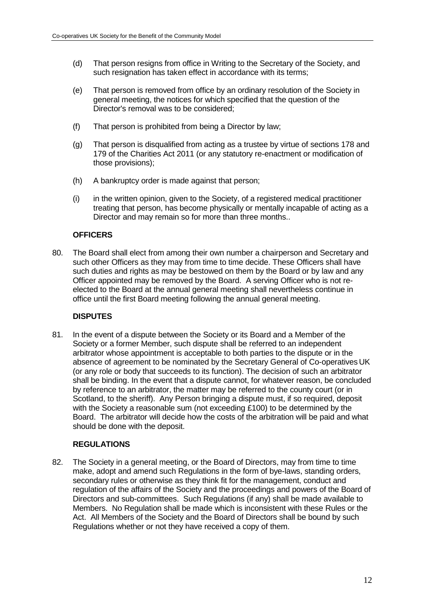- (d) That person resigns from office in Writing to the Secretary of the Society, and such resignation has taken effect in accordance with its terms;
- (e) That person is removed from office by an ordinary resolution of the Society in general meeting, the notices for which specified that the question of the Director's removal was to be considered;
- (f) That person is prohibited from being a Director by law;
- (g) That person is disqualified from acting as a trustee by virtue of sections 178 and 179 of the Charities Act 2011 (or any statutory re-enactment or modification of those provisions);
- (h) A bankruptcy order is made against that person;
- (i) in the written opinion, given to the Society, of a registered medical practitioner treating that person, has become physically or mentally incapable of acting as a Director and may remain so for more than three months..

## **OFFICERS**

80. The Board shall elect from among their own number a chairperson and Secretary and such other Officers as they may from time to time decide. These Officers shall have such duties and rights as may be bestowed on them by the Board or by law and any Officer appointed may be removed by the Board. A serving Officer who is not reelected to the Board at the annual general meeting shall nevertheless continue in office until the first Board meeting following the annual general meeting.

## **DISPUTES**

81. In the event of a dispute between the Society or its Board and a Member of the Society or a former Member, such dispute shall be referred to an independent arbitrator whose appointment is acceptable to both parties to the dispute or in the absence of agreement to be nominated by the Secretary General of Co-operatives UK (or any role or body that succeeds to its function). The decision of such an arbitrator shall be binding. In the event that a dispute cannot, for whatever reason, be concluded by reference to an arbitrator, the matter may be referred to the county court (or in Scotland, to the sheriff). Any Person bringing a dispute must, if so required, deposit with the Society a reasonable sum (not exceeding £100) to be determined by the Board. The arbitrator will decide how the costs of the arbitration will be paid and what should be done with the deposit.

## **REGULATIONS**

82. The Society in a general meeting, or the Board of Directors, may from time to time make, adopt and amend such Regulations in the form of bye-laws, standing orders, secondary rules or otherwise as they think fit for the management, conduct and regulation of the affairs of the Society and the proceedings and powers of the Board of Directors and sub-committees. Such Regulations (if any) shall be made available to Members. No Regulation shall be made which is inconsistent with these Rules or the Act. All Members of the Society and the Board of Directors shall be bound by such Regulations whether or not they have received a copy of them.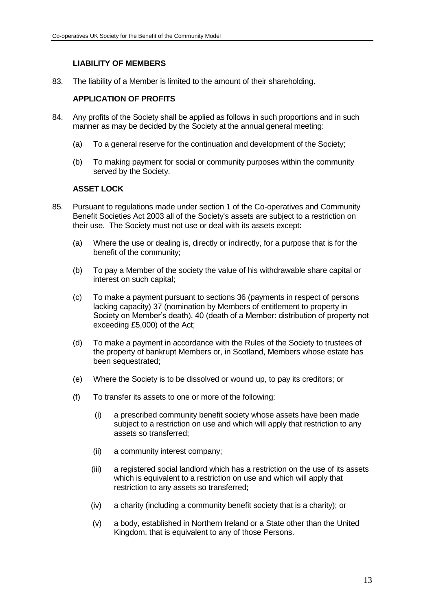# **LIABILITY OF MEMBERS**

83. The liability of a Member is limited to the amount of their shareholding.

# **APPLICATION OF PROFITS**

- 84. Any profits of the Society shall be applied as follows in such proportions and in such manner as may be decided by the Society at the annual general meeting:
	- (a) To a general reserve for the continuation and development of the Society;
	- (b) To making payment for social or community purposes within the community served by the Society.

# **ASSET LOCK**

- 85. Pursuant to regulations made under section 1 of the Co-operatives and Community Benefit Societies Act 2003 all of the Society's assets are subject to a restriction on their use. The Society must not use or deal with its assets except:
	- (a) Where the use or dealing is, directly or indirectly, for a purpose that is for the benefit of the community;
	- (b) To pay a Member of the society the value of his withdrawable share capital or interest on such capital;
	- (c) To make a payment pursuant to sections 36 (payments in respect of persons lacking capacity) 37 (nomination by Members of entitlement to property in Society on Member's death), 40 (death of a Member: distribution of property not exceeding £5,000) of the Act;
	- (d) To make a payment in accordance with the Rules of the Society to trustees of the property of bankrupt Members or, in Scotland, Members whose estate has been sequestrated;
	- (e) Where the Society is to be dissolved or wound up, to pay its creditors; or
	- (f) To transfer its assets to one or more of the following:
		- (i) a prescribed community benefit society whose assets have been made subject to a restriction on use and which will apply that restriction to any assets so transferred;
		- (ii) a community interest company;
		- (iii) a registered social landlord which has a restriction on the use of its assets which is equivalent to a restriction on use and which will apply that restriction to any assets so transferred;
		- (iv) a charity (including a community benefit society that is a charity); or
		- (v) a body, established in Northern Ireland or a State other than the United Kingdom, that is equivalent to any of those Persons.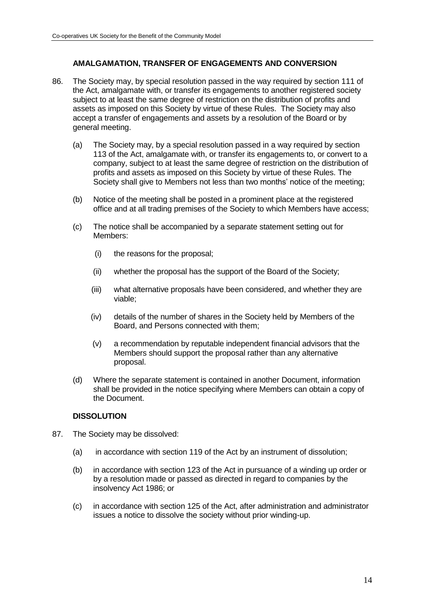# **AMALGAMATION, TRANSFER OF ENGAGEMENTS AND CONVERSION**

- 86. The Society may, by special resolution passed in the way required by section 111 of the Act, amalgamate with, or transfer its engagements to another registered society subject to at least the same degree of restriction on the distribution of profits and assets as imposed on this Society by virtue of these Rules. The Society may also accept a transfer of engagements and assets by a resolution of the Board or by general meeting.
	- (a) The Society may, by a special resolution passed in a way required by section 113 of the Act, amalgamate with, or transfer its engagements to, or convert to a company, subject to at least the same degree of restriction on the distribution of profits and assets as imposed on this Society by virtue of these Rules. The Society shall give to Members not less than two months' notice of the meeting;
	- (b) Notice of the meeting shall be posted in a prominent place at the registered office and at all trading premises of the Society to which Members have access;
	- (c) The notice shall be accompanied by a separate statement setting out for Members:
		- (i) the reasons for the proposal;
		- (ii) whether the proposal has the support of the Board of the Society;
		- (iii) what alternative proposals have been considered, and whether they are viable;
		- (iv) details of the number of shares in the Society held by Members of the Board, and Persons connected with them;
		- (v) a recommendation by reputable independent financial advisors that the Members should support the proposal rather than any alternative proposal.
	- (d) Where the separate statement is contained in another Document, information shall be provided in the notice specifying where Members can obtain a copy of the Document.

## **DISSOLUTION**

- 87. The Society may be dissolved:
	- (a) in accordance with section 119 of the Act by an instrument of dissolution;
	- (b) in accordance with section 123 of the Act in pursuance of a winding up order or by a resolution made or passed as directed in regard to companies by the insolvency Act 1986; or
	- (c) in accordance with section 125 of the Act, after administration and administrator issues a notice to dissolve the society without prior winding-up.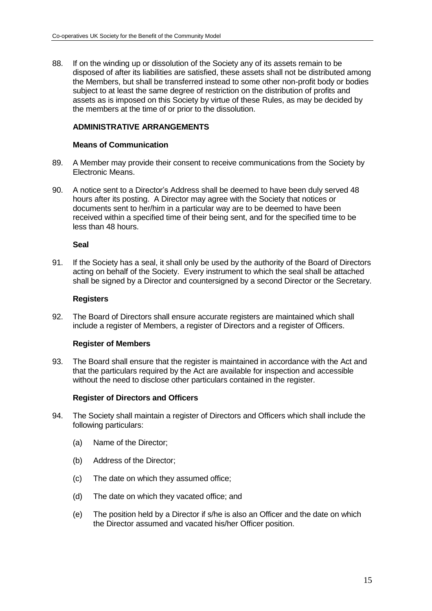88. If on the winding up or dissolution of the Society any of its assets remain to be disposed of after its liabilities are satisfied, these assets shall not be distributed among the Members, but shall be transferred instead to some other non-profit body or bodies subject to at least the same degree of restriction on the distribution of profits and assets as is imposed on this Society by virtue of these Rules, as may be decided by the members at the time of or prior to the dissolution.

### **ADMINISTRATIVE ARRANGEMENTS**

#### **Means of Communication**

- 89. A Member may provide their consent to receive communications from the Society by Electronic Means.
- 90. A notice sent to a Director's Address shall be deemed to have been duly served 48 hours after its posting. A Director may agree with the Society that notices or documents sent to her/him in a particular way are to be deemed to have been received within a specified time of their being sent, and for the specified time to be less than 48 hours.

#### **Seal**

91. If the Society has a seal, it shall only be used by the authority of the Board of Directors acting on behalf of the Society. Every instrument to which the seal shall be attached shall be signed by a Director and countersigned by a second Director or the Secretary.

#### **Registers**

92. The Board of Directors shall ensure accurate registers are maintained which shall include a register of Members, a register of Directors and a register of Officers.

#### **Register of Members**

93. The Board shall ensure that the register is maintained in accordance with the Act and that the particulars required by the Act are available for inspection and accessible without the need to disclose other particulars contained in the register.

#### **Register of Directors and Officers**

- 94. The Society shall maintain a register of Directors and Officers which shall include the following particulars:
	- (a) Name of the Director;
	- (b) Address of the Director;
	- (c) The date on which they assumed office;
	- (d) The date on which they vacated office; and
	- (e) The position held by a Director if s/he is also an Officer and the date on which the Director assumed and vacated his/her Officer position.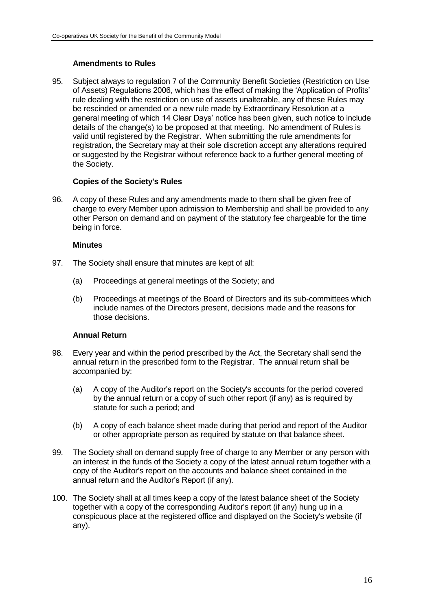## **Amendments to Rules**

95. Subject always to regulation 7 of the Community Benefit Societies (Restriction on Use of Assets) Regulations 2006, which has the effect of making the 'Application of Profits' rule dealing with the restriction on use of assets unalterable, any of these Rules may be rescinded or amended or a new rule made by Extraordinary Resolution at a general meeting of which 14 Clear Days' notice has been given, such notice to include details of the change(s) to be proposed at that meeting. No amendment of Rules is valid until registered by the Registrar. When submitting the rule amendments for registration, the Secretary may at their sole discretion accept any alterations required or suggested by the Registrar without reference back to a further general meeting of the Society.

### **Copies of the Society's Rules**

96. A copy of these Rules and any amendments made to them shall be given free of charge to every Member upon admission to Membership and shall be provided to any other Person on demand and on payment of the statutory fee chargeable for the time being in force.

#### **Minutes**

- 97. The Society shall ensure that minutes are kept of all:
	- (a) Proceedings at general meetings of the Society; and
	- (b) Proceedings at meetings of the Board of Directors and its sub-committees which include names of the Directors present, decisions made and the reasons for those decisions.

## **Annual Return**

- 98. Every year and within the period prescribed by the Act, the Secretary shall send the annual return in the prescribed form to the Registrar. The annual return shall be accompanied by:
	- (a) A copy of the Auditor's report on the Society's accounts for the period covered by the annual return or a copy of such other report (if any) as is required by statute for such a period; and
	- (b) A copy of each balance sheet made during that period and report of the Auditor or other appropriate person as required by statute on that balance sheet.
- 99. The Society shall on demand supply free of charge to any Member or any person with an interest in the funds of the Society a copy of the latest annual return together with a copy of the Auditor's report on the accounts and balance sheet contained in the annual return and the Auditor's Report (if any).
- 100. The Society shall at all times keep a copy of the latest balance sheet of the Society together with a copy of the corresponding Auditor's report (if any) hung up in a conspicuous place at the registered office and displayed on the Society's website (if any).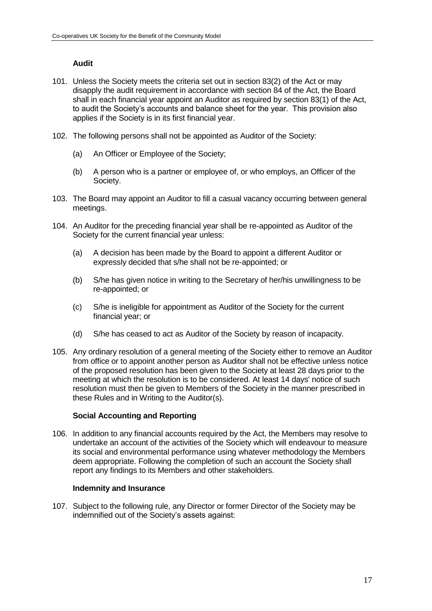# **Audit**

- 101. Unless the Society meets the criteria set out in section 83(2) of the Act or may disapply the audit requirement in accordance with section 84 of the Act, the Board shall in each financial year appoint an Auditor as required by section 83(1) of the Act, to audit the Society's accounts and balance sheet for the year. This provision also applies if the Society is in its first financial year.
- 102. The following persons shall not be appointed as Auditor of the Society:
	- (a) An Officer or Employee of the Society;
	- (b) A person who is a partner or employee of, or who employs, an Officer of the Society.
- 103. The Board may appoint an Auditor to fill a casual vacancy occurring between general meetings.
- 104. An Auditor for the preceding financial year shall be re-appointed as Auditor of the Society for the current financial year unless:
	- (a) A decision has been made by the Board to appoint a different Auditor or expressly decided that s/he shall not be re-appointed; or
	- (b) S/he has given notice in writing to the Secretary of her/his unwillingness to be re-appointed; or
	- (c) S/he is ineligible for appointment as Auditor of the Society for the current financial year; or
	- (d) S/he has ceased to act as Auditor of the Society by reason of incapacity.
- 105. Any ordinary resolution of a general meeting of the Society either to remove an Auditor from office or to appoint another person as Auditor shall not be effective unless notice of the proposed resolution has been given to the Society at least 28 days prior to the meeting at which the resolution is to be considered. At least 14 days' notice of such resolution must then be given to Members of the Society in the manner prescribed in these Rules and in Writing to the Auditor(s).

## **Social Accounting and Reporting**

106. In addition to any financial accounts required by the Act, the Members may resolve to undertake an account of the activities of the Society which will endeavour to measure its social and environmental performance using whatever methodology the Members deem appropriate. Following the completion of such an account the Society shall report any findings to its Members and other stakeholders.

#### **Indemnity and Insurance**

107. Subject to the following rule, any Director or former Director of the Society may be indemnified out of the Society's assets against: